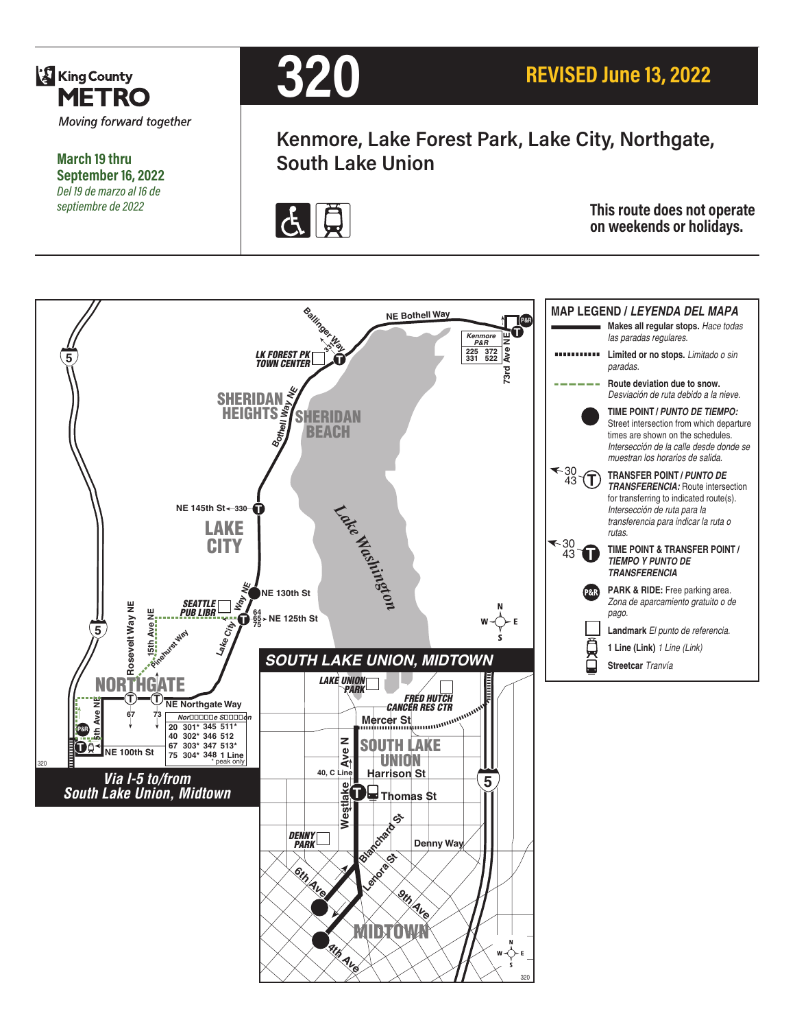

**March 19 thru September 16, 2022** *Del 19 de marzo al 16 de* 

## **320**

**Kenmore, Lake Forest Park, Lake City, Northgate, South Lake Union**



**FOR PRESERVANCE IS A SEPTEMBRY SEPTIEM This route does not operate**  $\overline{G}$  **This route does not operate**  $\overline{G}$  **This route does not operate on weekends or holidays.**